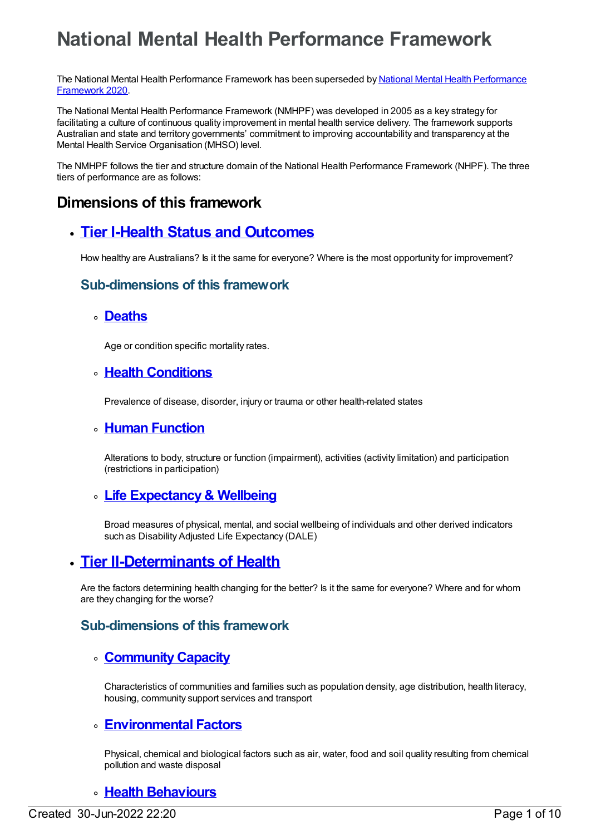# **National Mental Health Performance Framework**

The National Mental Health [Performance](file:///content/721188) Framework has been superseded by National Mental Health Performance Framework 2020.

The National Mental Health Performance Framework (NMHPF) was developed in 2005 as a key strategy for facilitating a culture of continuous quality improvement in mental health service delivery. The framework supports Australian and state and territory governments' commitment to improving accountability and transparency at the Mental Health Service Organisation (MHSO) level.

The NMHPF follows the tier and structure domain of the National Health Performance Framework (NHPF). The three tiers of performance are as follows:

# **Dimensions of this framework**

# **Tier I-Health Status and [Outcomes](https://meteor.aihw.gov.au/content/584828)**

How healthy are Australians? Is it the same for everyone? Where is the most opportunity for improvement?

### **Sub-dimensions of this framework**

#### **[Deaths](https://meteor.aihw.gov.au/content/584829)**

Age or condition specific mortality rates.

### **Health [Conditions](https://meteor.aihw.gov.au/content/584847)**

Prevalence of disease, disorder, injury or trauma or other health-related states

### **Human [Function](https://meteor.aihw.gov.au/content/584844)**

Alterations to body, structure or function (impairment), activities (activity limitation) and participation (restrictions in participation)

### **Life [Expectancy&](https://meteor.aihw.gov.au/content/584843) Wellbeing**

Broad measures of physical, mental, and social wellbeing of individuals and other derived indicators such as Disability Adjusted Life Expectancy (DALE)

### **Tier [II-Determinants](https://meteor.aihw.gov.au/content/584850) of Health**

Are the factors determining health changing for the better? Is it the same for everyone? Where and for whom are they changing for the worse?

### **Sub-dimensions of this framework**

### **[CommunityCapacity](https://meteor.aihw.gov.au/content/584855)**

Characteristics of communities and families such as population density, age distribution, health literacy, housing, community support services and transport

### **[Environmental](https://meteor.aihw.gov.au/content/584858) Factors**

Physical, chemical and biological factors such as air, water, food and soil quality resulting from chemical pollution and waste disposal

### **Health [Behaviours](https://meteor.aihw.gov.au/content/584854)**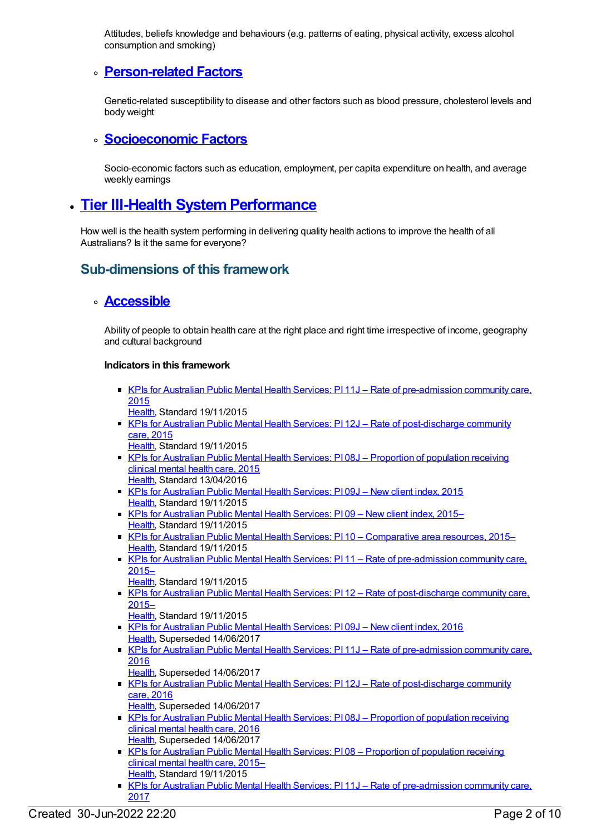Attitudes, beliefs knowledge and behaviours (e.g. patterns of eating, physical activity, excess alcohol consumption and smoking)

### **[Person-related](https://meteor.aihw.gov.au/content/584851) Factors**

Genetic-related susceptibility to disease and other factors such as blood pressure, cholesterol levels and body weight

### **[Socioeconomic](https://meteor.aihw.gov.au/content/584857) Factors**

Socio-economic factors such as education, employment, per capita expenditure on health, and average weekly earnings

# **Tier III-Health System [Performance](https://meteor.aihw.gov.au/content/584860)**

How well is the health system performing in delivering quality health actions to improve the health of all Australians? Is it the same for everyone?

### **Sub-dimensions of this framework**

### **[Accessible](https://meteor.aihw.gov.au/content/584868)**

Ability of people to obtain health care at the right place and right time irrespective of income, geography and cultural background

- KPIs for Australian Public Mental Health Services: PI 11J Rate of [pre-admission](https://meteor.aihw.gov.au/content/596972) community care, 2015
	- [Health](https://meteor.aihw.gov.au/RegistrationAuthority/12), Standard 19/11/2015
- KPIs for Australian Public Mental Health Services: PI 12J Rate of [post-discharge](https://meteor.aihw.gov.au/content/596977) community care, 2015
- [Health](https://meteor.aihw.gov.au/RegistrationAuthority/12), Standard 19/11/2015
- KPIs for Australian Public Mental Health Services: PI08J [Proportion](https://meteor.aihw.gov.au/content/584375) of population receiving clinical mental health care, 2015 [Health](https://meteor.aihw.gov.au/RegistrationAuthority/12), Standard 13/04/2016
- KPIs for [Australian](https://meteor.aihw.gov.au/content/596969) Public Mental Health Services: PI 09J New client index, 2015 [Health](https://meteor.aihw.gov.au/RegistrationAuthority/12), Standard 19/11/2015
- KPIs for [Australian](https://meteor.aihw.gov.au/content/584234) Public Mental Health Services: PI 09 New client index, 2015– [Health](https://meteor.aihw.gov.au/RegistrationAuthority/12), Standard 19/11/2015
- KPIs for Australian Public Mental Health Services: PI 10 [Comparative](https://meteor.aihw.gov.au/content/596812) area resources, 2015– [Health](https://meteor.aihw.gov.au/RegistrationAuthority/12), Standard 19/11/2015
- KPIs for Australian Public Mental Health Services: PI 11 Rate of [pre-admission](https://meteor.aihw.gov.au/content/584236) community care, 2015–
	- [Health](https://meteor.aihw.gov.au/RegistrationAuthority/12), Standard 19/11/2015
- KPIs for Australian Public Mental Health Services: PI 12 Rate of [post-discharge](https://meteor.aihw.gov.au/content/584238) community care, 2015–
	- [Health](https://meteor.aihw.gov.au/RegistrationAuthority/12), Standard 19/11/2015
- KPIs for [Australian](https://meteor.aihw.gov.au/content/630388) Public Mental Health Services: PI 09J New client index, 2016 [Health](https://meteor.aihw.gov.au/RegistrationAuthority/12), Superseded 14/06/2017
- KPIs for Australian Public Mental Health Services: PI 11J Rate of [pre-admission](https://meteor.aihw.gov.au/content/630390) community care, 2016
	- [Health](https://meteor.aihw.gov.au/RegistrationAuthority/12), Superseded 14/06/2017
- KPIs for Australian Public Mental Health Services: PI 12J Rate of [post-discharge](https://meteor.aihw.gov.au/content/630392) community care, 2016
	- [Health](https://meteor.aihw.gov.au/RegistrationAuthority/12), Superseded 14/06/2017
- KPIs for Australian Public Mental Health Services: PI08J [Proportion](https://meteor.aihw.gov.au/content/630385) of population receiving clinical mental health care, 2016 [Health](https://meteor.aihw.gov.au/RegistrationAuthority/12), Superseded 14/06/2017
- KPIs for Australian Public Mental Health Services: PI 08 [Proportion](https://meteor.aihw.gov.au/content/584223) of population receiving clinical mental health care, 2015– [Health](https://meteor.aihw.gov.au/RegistrationAuthority/12), Standard 19/11/2015
- KPIs for Australian Public Mental Health Services: PI 11J Rate of [pre-admission](https://meteor.aihw.gov.au/content/663836) community care, 2017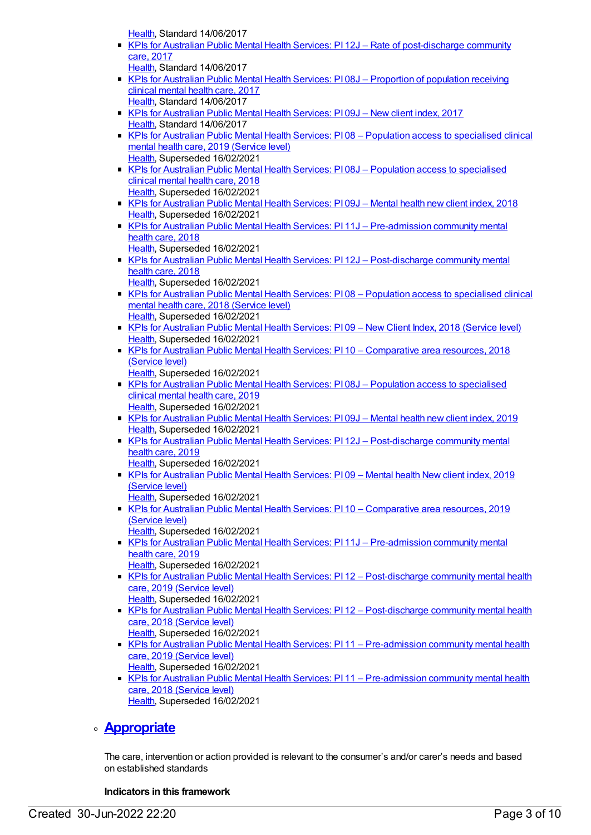[Health](https://meteor.aihw.gov.au/RegistrationAuthority/12), Standard 14/06/2017

- KPIs for Australian Public Mental Health Services: PI 12J Rate of [post-discharge](https://meteor.aihw.gov.au/content/663838) community care, 2017
- [Health](https://meteor.aihw.gov.au/RegistrationAuthority/12), Standard 14/06/2017
- KPIs for Australian Public Mental Health Services: PI 08J [Proportion](https://meteor.aihw.gov.au/content/663825) of population receiving clinical mental health care, 2017 [Health](https://meteor.aihw.gov.au/RegistrationAuthority/12), Standard 14/06/2017
- KPIs for [Australian](https://meteor.aihw.gov.au/content/663834) Public Mental Health Services: PI 09J New client index, 2017 [Health](https://meteor.aihw.gov.au/RegistrationAuthority/12), Standard 14/06/2017
- KPIs for Australian Public Mental Health Services: PI 08 Population access to [specialised](https://meteor.aihw.gov.au/content/712098) clinical mental health care, 2019 (Service level) [Health](https://meteor.aihw.gov.au/RegistrationAuthority/12), Superseded 16/02/2021
- KPIs for Australian Public Mental Health Services: PI 08J Population access to [specialised](https://meteor.aihw.gov.au/content/692989) clinical mental health care, 2018 [Health](https://meteor.aihw.gov.au/RegistrationAuthority/12), Superseded 16/02/2021
- KPIs for [Australian](https://meteor.aihw.gov.au/content/692991) Public Mental Health Services: PI 09J Mental health new client index, 2018 [Health](https://meteor.aihw.gov.au/RegistrationAuthority/12), Superseded 16/02/2021
- KPIs for Australian Public Mental Health Services: PI 11J [Pre-admission](https://meteor.aihw.gov.au/content/692993) community mental health care, 2018

[Health](https://meteor.aihw.gov.au/RegistrationAuthority/12), Superseded 16/02/2021

KPIs for Australian Public Mental Health Services: PI 12J – [Post-discharge](https://meteor.aihw.gov.au/content/692995) community mental health care, 2018

[Health](https://meteor.aihw.gov.au/RegistrationAuthority/12), Superseded 16/02/2021

- KPIs for Australian Public Mental Health Services: PI 08 Population access to [specialised](https://meteor.aihw.gov.au/content/630413) clinical mental health care, 2018 (Service level) [Health](https://meteor.aihw.gov.au/RegistrationAuthority/12), Superseded 16/02/2021
- KPIs for [Australian](https://meteor.aihw.gov.au/content/633042) Public Mental Health Services: PI09 New Client Index, 2018 (Service level) [Health](https://meteor.aihw.gov.au/RegistrationAuthority/12), Superseded 16/02/2021
- KPIs for Australian Public Mental Health Services: PI 10 [Comparative](https://meteor.aihw.gov.au/content/693359) area resources, 2018 (Service level)
	- [Health](https://meteor.aihw.gov.au/RegistrationAuthority/12), Superseded 16/02/2021
- KPIs for Australian Public Mental Health Services: PI 08J Population access to [specialised](https://meteor.aihw.gov.au/content/709390) clinical mental health care, 2019 [Health](https://meteor.aihw.gov.au/RegistrationAuthority/12), Superseded 16/02/2021
- KPIs for [Australian](https://meteor.aihw.gov.au/content/709396) Public Mental Health Services: PI 09J Mental health new client index, 2019 [Health](https://meteor.aihw.gov.au/RegistrationAuthority/12), Superseded 16/02/2021
- KPIs for Australian Public Mental Health Services: PI 12J [Post-discharge](https://meteor.aihw.gov.au/content/709386) community mental health care, 2019

[Health](https://meteor.aihw.gov.au/RegistrationAuthority/12), Superseded 16/02/2021

- KPIs for [Australian](https://meteor.aihw.gov.au/content/712088) Public Mental Health Services: PI 09 Mental health New client index, 2019 (Service level)
	- [Health](https://meteor.aihw.gov.au/RegistrationAuthority/12), Superseded 16/02/2021
- KPIs for Australian Public Mental Health Services: PI 10 [Comparative](https://meteor.aihw.gov.au/content/712084) area resources, 2019 (Service level)
	- [Health](https://meteor.aihw.gov.au/RegistrationAuthority/12), Superseded 16/02/2021
- KPIs for Australian Public Mental Health Services: PI 11J [Pre-admission](https://meteor.aihw.gov.au/content/709384) community mental health care, 2019
	- [Health](https://meteor.aihw.gov.au/RegistrationAuthority/12), Superseded 16/02/2021
- KPIs for Australian Public Mental Health Services: PI 12 [Post-discharge](https://meteor.aihw.gov.au/content/712101) community mental health care, 2019 (Service level) [Health](https://meteor.aihw.gov.au/RegistrationAuthority/12), Superseded 16/02/2021
- KPIs for Australian Public Mental Health Services: PI 12 [Post-discharge](https://meteor.aihw.gov.au/content/633048) community mental health care, 2018 (Service level) [Health](https://meteor.aihw.gov.au/RegistrationAuthority/12), Superseded 16/02/2021
- KPIs for Australian Public Mental Health Services: PI11 [Pre-admission](https://meteor.aihw.gov.au/content/712104) community mental health care, 2019 (Service level)
	- [Health](https://meteor.aihw.gov.au/RegistrationAuthority/12), Superseded 16/02/2021
- KPIs for Australian Public Mental Health Services: PI 11 [Pre-admission](https://meteor.aihw.gov.au/content/633046) community mental health care, 2018 (Service level) [Health](https://meteor.aihw.gov.au/RegistrationAuthority/12), Superseded 16/02/2021

### **[Appropriate](https://meteor.aihw.gov.au/content/584871)**

The care, intervention or action provided is relevant to the consumer's and/or carer's needs and based on established standards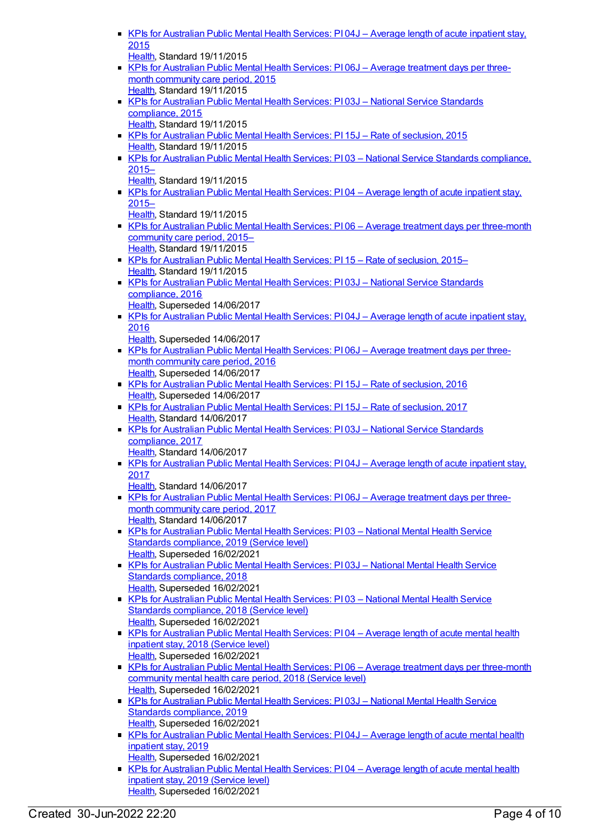|                                                                                                                            | KPIs for Australian Public Mental Health Services: PI04J - Average length of acute inpatient stay. |
|----------------------------------------------------------------------------------------------------------------------------|----------------------------------------------------------------------------------------------------|
| 2015                                                                                                                       |                                                                                                    |
| Health, Standard 19/11/2015                                                                                                |                                                                                                    |
|                                                                                                                            | KPIs for Australian Public Mental Health Services: P106J - Average treatment days per three-       |
| month community care period, 2015                                                                                          |                                                                                                    |
| Health, Standard 19/11/2015                                                                                                |                                                                                                    |
| KPIs for Australian Public Mental Health Services: PI03J - National Service Standards                                      |                                                                                                    |
| compliance, 2015<br>Health, Standard 19/11/2015                                                                            |                                                                                                    |
| KPIs for Australian Public Mental Health Services: PI 15J - Rate of seclusion, 2015                                        |                                                                                                    |
| Health, Standard 19/11/2015                                                                                                |                                                                                                    |
|                                                                                                                            | KPIs for Australian Public Mental Health Services: P103 - National Service Standards compliance.   |
| $2015 -$                                                                                                                   |                                                                                                    |
| Health, Standard 19/11/2015                                                                                                |                                                                                                    |
|                                                                                                                            | KPIs for Australian Public Mental Health Services: PI04 - Average length of acute inpatient stay,  |
| $2015 -$                                                                                                                   |                                                                                                    |
| Health, Standard 19/11/2015                                                                                                |                                                                                                    |
| community care period, 2015-                                                                                               | KPIs for Australian Public Mental Health Services: P106 - Average treatment days per three-month   |
| Health, Standard 19/11/2015                                                                                                |                                                                                                    |
| ■ KPIs for Australian Public Mental Health Services: PI 15 – Rate of seclusion, 2015–                                      |                                                                                                    |
| Health, Standard 19/11/2015                                                                                                |                                                                                                    |
| KPIs for Australian Public Mental Health Services: PI03J - National Service Standards                                      |                                                                                                    |
| compliance, 2016                                                                                                           |                                                                                                    |
| Health, Superseded 14/06/2017                                                                                              |                                                                                                    |
|                                                                                                                            | KPIs for Australian Public Mental Health Services: PI04J - Average length of acute inpatient stay, |
| 2016                                                                                                                       |                                                                                                    |
| Health, Superseded 14/06/2017                                                                                              | KPIs for Australian Public Mental Health Services: PI06J - Average treatment days per three-       |
| month community care period, 2016                                                                                          |                                                                                                    |
| Health, Superseded 14/06/2017                                                                                              |                                                                                                    |
| KPIs for Australian Public Mental Health Services: PI 15J - Rate of seclusion, 2016                                        |                                                                                                    |
| Health, Superseded 14/06/2017                                                                                              |                                                                                                    |
| KPIs for Australian Public Mental Health Services: PI 15J - Rate of seclusion, 2017                                        |                                                                                                    |
| Health, Standard 14/06/2017                                                                                                |                                                                                                    |
| KPIs for Australian Public Mental Health Services: PI 03J - National Service Standards                                     |                                                                                                    |
| compliance, 2017<br>Health, Standard 14/06/2017                                                                            |                                                                                                    |
|                                                                                                                            | KPIs for Australian Public Mental Health Services: PI04J - Average length of acute inpatient stay, |
| 2017                                                                                                                       |                                                                                                    |
| Health, Standard 14/06/2017                                                                                                |                                                                                                    |
|                                                                                                                            | ■ KPIs for Australian Public Mental Health Services: PI06J – Average treatment days per three-     |
| month community care period, 2017                                                                                          |                                                                                                    |
| Health, Standard 14/06/2017                                                                                                |                                                                                                    |
| KPIs for Australian Public Mental Health Services: PI03 - National Mental Health Service                                   |                                                                                                    |
| Standards compliance, 2019 (Service level)                                                                                 |                                                                                                    |
| Health, Superseded 16/02/2021<br>KPIs for Australian Public Mental Health Services: PI03J - National Mental Health Service |                                                                                                    |
| Standards compliance, 2018                                                                                                 |                                                                                                    |
| Health, Superseded 16/02/2021                                                                                              |                                                                                                    |
| KPIs for Australian Public Mental Health Services: PI03 - National Mental Health Service                                   |                                                                                                    |
| Standards compliance, 2018 (Service level)                                                                                 |                                                                                                    |
| Health, Superseded 16/02/2021                                                                                              |                                                                                                    |
|                                                                                                                            | KPIs for Australian Public Mental Health Services: PI04 - Average length of acute mental health    |
| inpatient stay, 2018 (Service level)                                                                                       |                                                                                                    |
| Health, Superseded 16/02/2021                                                                                              |                                                                                                    |
|                                                                                                                            | KPIs for Australian Public Mental Health Services: PI06 - Average treatment days per three-month   |
| community mental health care period, 2018 (Service level)<br>Health, Superseded 16/02/2021                                 |                                                                                                    |
| KPIs for Australian Public Mental Health Services: PI 03J - National Mental Health Service                                 |                                                                                                    |
| Standards compliance, 2019                                                                                                 |                                                                                                    |
| Health, Superseded 16/02/2021                                                                                              |                                                                                                    |
|                                                                                                                            | KPIs for Australian Public Mental Health Services: PI04J - Average length of acute mental health   |
| inpatient stay, 2019                                                                                                       |                                                                                                    |
| Health, Superseded 16/02/2021                                                                                              |                                                                                                    |
| ٠                                                                                                                          | KPIs for Australian Public Mental Health Services: PI04 - Average length of acute mental health    |

inpatient stay, 2019 (Service level) [Health](https://meteor.aihw.gov.au/RegistrationAuthority/12), Superseded 16/02/2021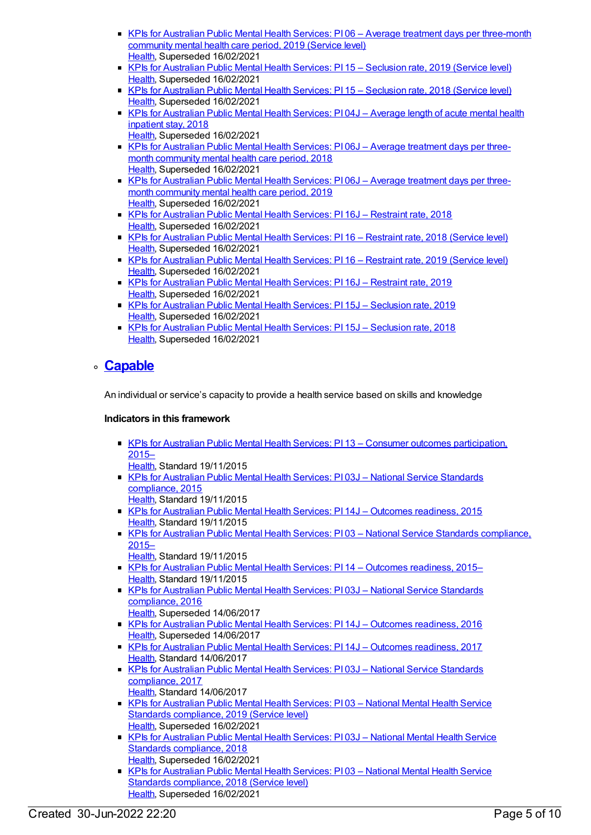- KPIs for Australian Public Mental Health Services: PI06 Average treatment days per [three-month](https://meteor.aihw.gov.au/content/712078) community mental health care period, 2019 (Service level) [Health](https://meteor.aihw.gov.au/RegistrationAuthority/12), Superseded 16/02/2021
- KPIs for [Australian](https://meteor.aihw.gov.au/content/712110) Public Mental Health Services: PI 15 Seclusion rate, 2019 (Service level) [Health](https://meteor.aihw.gov.au/RegistrationAuthority/12), Superseded 16/02/2021
- KPIs for [Australian](https://meteor.aihw.gov.au/content/633052) Public Mental Health Services: PI 15 Seclusion rate, 2018 (Service level) [Health](https://meteor.aihw.gov.au/RegistrationAuthority/12), Superseded 16/02/2021
- KPIs for [Australian](https://meteor.aihw.gov.au/content/692981) Public Mental Health Services: PI 04J Average length of acute mental health inpatient stay, 2018
- [Health](https://meteor.aihw.gov.au/RegistrationAuthority/12), Superseded 16/02/2021 KPIs for [Australian](https://meteor.aihw.gov.au/content/692985) Public Mental Health Services: PI 06J - Average treatment days per threemonth community mental health care period, 2018 [Health](https://meteor.aihw.gov.au/RegistrationAuthority/12), Superseded 16/02/2021
- KPIs for [Australian](https://meteor.aihw.gov.au/content/709400) Public Mental Health Services: PI 06J Average treatment days per threemonth community mental health care period, 2019 [Health](https://meteor.aihw.gov.au/RegistrationAuthority/12), Superseded 16/02/2021
- KPIs for [Australian](https://meteor.aihw.gov.au/content/693910) Public Mental Health Services: PI 16J Restraint rate, 2018 [Health](https://meteor.aihw.gov.au/RegistrationAuthority/12), Superseded 16/02/2021
- KPIs for [Australian](https://meteor.aihw.gov.au/content/693971) Public Mental Health Services: PI 16 Restraint rate, 2018 (Service level) [Health](https://meteor.aihw.gov.au/RegistrationAuthority/12), Superseded 16/02/2021
- KPIs for [Australian](https://meteor.aihw.gov.au/content/712107) Public Mental Health Services: PI 16 Restraint rate, 2019 (Service level) [Health](https://meteor.aihw.gov.au/RegistrationAuthority/12), Superseded 16/02/2021
- KPIs for [Australian](https://meteor.aihw.gov.au/content/709382) Public Mental Health Services: PI 16J Restraint rate, 2019 [Health](https://meteor.aihw.gov.au/RegistrationAuthority/12), Superseded 16/02/2021
- KPIs for [Australian](https://meteor.aihw.gov.au/content/709380) Public Mental Health Services: PI 15J Seclusion rate, 2019 [Health](https://meteor.aihw.gov.au/RegistrationAuthority/12), Superseded 16/02/2021
- KPIs for [Australian](https://meteor.aihw.gov.au/content/692999) Public Mental Health Services: PI 15J Seclusion rate, 2018 [Health](https://meteor.aihw.gov.au/RegistrationAuthority/12), Superseded 16/02/2021

### **[Capable](https://meteor.aihw.gov.au/content/584863)**

An individual or service's capacity to provide a health service based on skills and knowledge

- KPIs for Australian Public Mental Health Services: PI 13 Consumer outcomes [participation,](https://meteor.aihw.gov.au/content/596814) 2015–
- [Health](https://meteor.aihw.gov.au/RegistrationAuthority/12), Standard 19/11/2015
- KPIs for Australian Public Mental Health Services: PI 03J National Service Standards [compliance,](https://meteor.aihw.gov.au/content/583786) 2015
- [Health](https://meteor.aihw.gov.au/RegistrationAuthority/12), Standard 19/11/2015 KPIs for Australian Public Mental Health Services: PI 14J – Outcomes [readiness,](https://meteor.aihw.gov.au/content/597117) 2015
- [Health](https://meteor.aihw.gov.au/RegistrationAuthority/12), Standard 19/11/2015
- KPIs for Australian Public Mental Health Services: PI 03 National Service Standards [compliance,](https://meteor.aihw.gov.au/content/596823) 2015–
- [Health](https://meteor.aihw.gov.au/RegistrationAuthority/12), Standard 19/11/2015
- KPIs for Australian Public Mental Health Services: PI 14 Outcomes [readiness,](https://meteor.aihw.gov.au/content/584245) 2015– [Health](https://meteor.aihw.gov.au/RegistrationAuthority/12), Standard 19/11/2015
- KPIs for Australian Public Mental Health Services: PI 03J National Service Standards [compliance,](https://meteor.aihw.gov.au/content/630362) 2016
	- [Health](https://meteor.aihw.gov.au/RegistrationAuthority/12), Superseded 14/06/2017
- KPIs for Australian Public Mental Health Services: PI 14J Outcomes [readiness,](https://meteor.aihw.gov.au/content/630394) 2016 [Health](https://meteor.aihw.gov.au/RegistrationAuthority/12), Superseded 14/06/2017
- KPIs for Australian Public Mental Health Services: PI 14J Outcomes [readiness,](https://meteor.aihw.gov.au/content/663840) 2017 [Health](https://meteor.aihw.gov.au/RegistrationAuthority/12), Standard 14/06/2017
- KPIs for Australian Public Mental Health Services: PI 03J National Service Standards [compliance,](https://meteor.aihw.gov.au/content/663808) 2017 [Health](https://meteor.aihw.gov.au/RegistrationAuthority/12), Standard 14/06/2017
- KPIs for Australian Public Mental Health Services: PI 03 National Mental Health Service Standards [compliance,](https://meteor.aihw.gov.au/content/712095) 2019 (Service level) [Health](https://meteor.aihw.gov.au/RegistrationAuthority/12), Superseded 16/02/2021
- KPIs for Australian Public Mental Health Services: PI 03J National Mental Health Service Standards [compliance,](https://meteor.aihw.gov.au/content/692978) 2018 [Health](https://meteor.aihw.gov.au/RegistrationAuthority/12), Superseded 16/02/2021
- **KPIs for Australian Public Mental Health Services: PI 03 National Mental Health Service** Standards [compliance,](https://meteor.aihw.gov.au/content/633021) 2018 (Service level) [Health](https://meteor.aihw.gov.au/RegistrationAuthority/12), Superseded 16/02/2021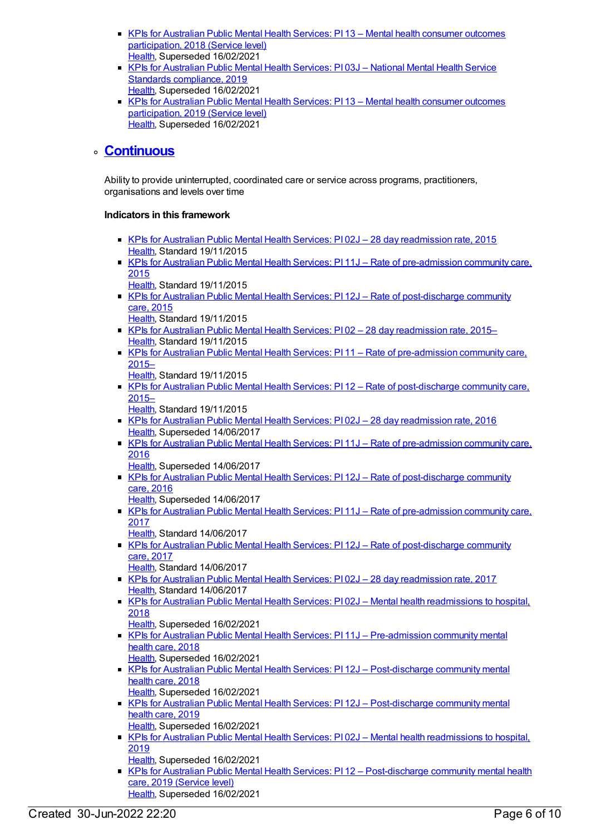- KPIs for Australian Public Mental Health Services: PI 13 Mental health consumer outcomes [participation,](https://meteor.aihw.gov.au/content/693357) 2018 (Service level) [Health](https://meteor.aihw.gov.au/RegistrationAuthority/12), Superseded 16/02/2021
- KPIs for Australian Public Mental Health Services: PI 03J National Mental Health Service Standards [compliance,](https://meteor.aihw.gov.au/content/709392) 2019 [Health](https://meteor.aihw.gov.au/RegistrationAuthority/12), Superseded 16/02/2021
- KPIs for Australian Public Mental Health Services: PI 13 Mental health consumer outcomes [participation,](https://meteor.aihw.gov.au/content/712086) 2019 (Service level) [Health](https://meteor.aihw.gov.au/RegistrationAuthority/12), Superseded 16/02/2021

### **[Continuous](https://meteor.aihw.gov.au/content/584864)**

Ability to provide uninterrupted, coordinated care or service across programs, practitioners, organisations and levels over time

- KPIs for Australian Public Mental Health Services: PI 02J 28 day [readmission](https://meteor.aihw.gov.au/content/585913) rate, 2015 [Health](https://meteor.aihw.gov.au/RegistrationAuthority/12), Standard 19/11/2015
- KPIs for Australian Public Mental Health Services: PI 11J Rate of [pre-admission](https://meteor.aihw.gov.au/content/596972) community care, 2015
	- [Health](https://meteor.aihw.gov.au/RegistrationAuthority/12), Standard 19/11/2015
- KPIs for Australian Public Mental Health Services: PI 12J Rate of [post-discharge](https://meteor.aihw.gov.au/content/596977) community care, 2015 [Health](https://meteor.aihw.gov.au/RegistrationAuthority/12), Standard 19/11/2015
- KPIs for Australian Public Mental Health Services: PI 02 28 day [readmission](https://meteor.aihw.gov.au/content/584044) rate, 2015– [Health](https://meteor.aihw.gov.au/RegistrationAuthority/12), Standard 19/11/2015
- KPIs for Australian Public Mental Health Services: PI 11 Rate of [pre-admission](https://meteor.aihw.gov.au/content/584236) community care, 2015–
	- [Health](https://meteor.aihw.gov.au/RegistrationAuthority/12), Standard 19/11/2015
- KPIs for Australian Public Mental Health Services: PI 12 Rate of [post-discharge](https://meteor.aihw.gov.au/content/584238) community care, 2015–
- [Health](https://meteor.aihw.gov.au/RegistrationAuthority/12), Standard 19/11/2015
- KPIs for Australian Public Mental Health Services: PI 02J 28 day [readmission](https://meteor.aihw.gov.au/content/630360) rate, 2016 [Health](https://meteor.aihw.gov.au/RegistrationAuthority/12), Superseded 14/06/2017
- KPIs for Australian Public Mental Health Services: PI 11J Rate of [pre-admission](https://meteor.aihw.gov.au/content/630390) community care, 2016
	- [Health](https://meteor.aihw.gov.au/RegistrationAuthority/12), Superseded 14/06/2017
- KPIs for Australian Public Mental Health Services: PI 12J Rate of [post-discharge](https://meteor.aihw.gov.au/content/630392) community care, 2016
	- [Health](https://meteor.aihw.gov.au/RegistrationAuthority/12), Superseded 14/06/2017
- KPIs for Australian Public Mental Health Services: PI 11J Rate of [pre-admission](https://meteor.aihw.gov.au/content/663836) community care, 2017
	- [Health](https://meteor.aihw.gov.au/RegistrationAuthority/12), Standard 14/06/2017
- KPIs for Australian Public Mental Health Services: PI 12J Rate of [post-discharge](https://meteor.aihw.gov.au/content/663838) community care, 2017
	- [Health](https://meteor.aihw.gov.au/RegistrationAuthority/12), Standard 14/06/2017
- KPIs for Australian Public Mental Health Services: PI 02J 28 day [readmission](https://meteor.aihw.gov.au/content/663806) rate, 2017 [Health](https://meteor.aihw.gov.au/RegistrationAuthority/12), Standard 14/06/2017
- KPIs for Australian Public Mental Health Services: PI 02J Mental health [readmissions](https://meteor.aihw.gov.au/content/692976) to hospital, 2018
	- [Health](https://meteor.aihw.gov.au/RegistrationAuthority/12), Superseded 16/02/2021
- KPIs for Australian Public Mental Health Services: PI 11J [Pre-admission](https://meteor.aihw.gov.au/content/692993) community mental health care, 2018
	- [Health](https://meteor.aihw.gov.au/RegistrationAuthority/12), Superseded 16/02/2021
- KPIs for Australian Public Mental Health Services: PI 12J [Post-discharge](https://meteor.aihw.gov.au/content/692995) community mental health care, 2018
- [Health](https://meteor.aihw.gov.au/RegistrationAuthority/12), Superseded 16/02/2021
- KPIs for Australian Public Mental Health Services: PI 12J [Post-discharge](https://meteor.aihw.gov.au/content/709386) community mental health care, 2019 [Health](https://meteor.aihw.gov.au/RegistrationAuthority/12), Superseded 16/02/2021
- KPIs for Australian Public Mental Health Services: PI 02J Mental health [readmissions](https://meteor.aihw.gov.au/content/709394) to hospital, 2019
	- [Health](https://meteor.aihw.gov.au/RegistrationAuthority/12), Superseded 16/02/2021
- KPIs for Australian Public Mental Health Services: PI 12 [Post-discharge](https://meteor.aihw.gov.au/content/712101) community mental health care, 2019 (Service level) [Health](https://meteor.aihw.gov.au/RegistrationAuthority/12), Superseded 16/02/2021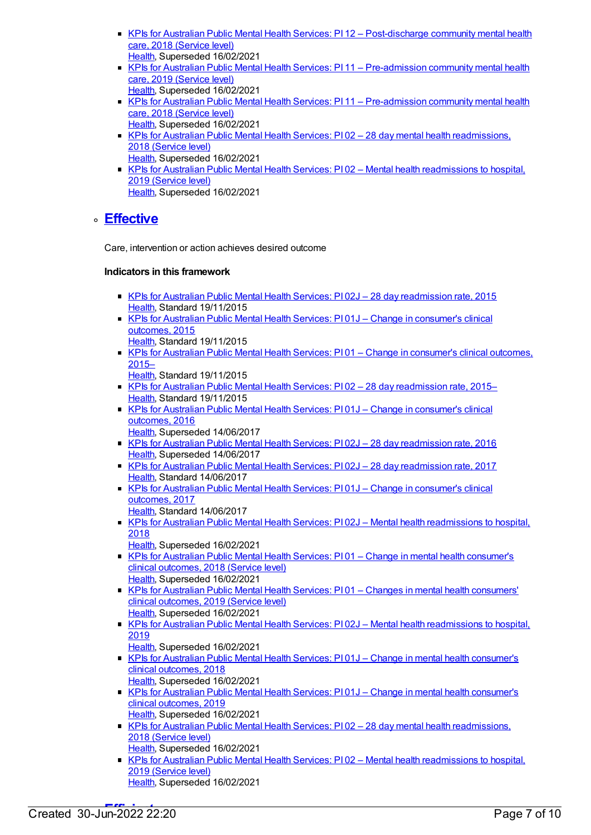- KPIs for Australian Public Mental Health Services: PI 12 [Post-discharge](https://meteor.aihw.gov.au/content/633048) community mental health care, 2018 (Service level) [Health](https://meteor.aihw.gov.au/RegistrationAuthority/12), Superseded 16/02/2021
- KPIs for Australian Public Mental Health Services: PI 11 [Pre-admission](https://meteor.aihw.gov.au/content/712104) community mental health care, 2019 (Service level) [Health](https://meteor.aihw.gov.au/RegistrationAuthority/12), Superseded 16/02/2021
- KPIs for Australian Public Mental Health Services: PI11 [Pre-admission](https://meteor.aihw.gov.au/content/633046) community mental health care, 2018 (Service level)
- [Health](https://meteor.aihw.gov.au/RegistrationAuthority/12), Superseded 16/02/2021 KPIs for Australian Public Mental Health Services: PI 02 - 28 day mental health [readmissions,](https://meteor.aihw.gov.au/content/633017) 2018 (Service level) [Health](https://meteor.aihw.gov.au/RegistrationAuthority/12), Superseded 16/02/2021
- KPIs for Australian Public Mental Health Services: PI 02 Mental health [readmissions](https://meteor.aihw.gov.au/content/712092) to hospital, 2019 (Service level) [Health](https://meteor.aihw.gov.au/RegistrationAuthority/12), Superseded 16/02/2021

### **[Effective](https://meteor.aihw.gov.au/content/584872)**

Care, intervention or action achieves desired outcome

- KPIs for Australian Public Mental Health Services: PI 02J 28 day [readmission](https://meteor.aihw.gov.au/content/585913) rate, 2015 [Health](https://meteor.aihw.gov.au/RegistrationAuthority/12), Standard 19/11/2015
- KPIs for Australian Public Mental Health Services: PI01J Change in [consumer's](https://meteor.aihw.gov.au/content/584821) clinical outcomes, 2015
	- [Health](https://meteor.aihw.gov.au/RegistrationAuthority/12), Standard 19/11/2015
- KPIs for Australian Public Mental Health Services: PI01 Change in [consumer's](https://meteor.aihw.gov.au/content/584024) clinical outcomes, 2015–
	- [Health](https://meteor.aihw.gov.au/RegistrationAuthority/12), Standard 19/11/2015
- KPIs for Australian Public Mental Health Services: PI 02 28 day [readmission](https://meteor.aihw.gov.au/content/584044) rate, 2015– [Health](https://meteor.aihw.gov.au/RegistrationAuthority/12), Standard 19/11/2015
- KPIs for Australian Public Mental Health Services: PI 01J Change in [consumer's](https://meteor.aihw.gov.au/content/630358) clinical outcomes, 2016
	- [Health](https://meteor.aihw.gov.au/RegistrationAuthority/12), Superseded 14/06/2017
- KPIs for Australian Public Mental Health Services: PI 02J 28 day [readmission](https://meteor.aihw.gov.au/content/630360) rate, 2016 [Health](https://meteor.aihw.gov.au/RegistrationAuthority/12), Superseded 14/06/2017
- KPIs for Australian Public Mental Health Services: PI 02J 28 day [readmission](https://meteor.aihw.gov.au/content/663806) rate, 2017 [Health](https://meteor.aihw.gov.au/RegistrationAuthority/12), Standard 14/06/2017
- KPIs for Australian Public Mental Health Services: PI 01J Change in [consumer's](https://meteor.aihw.gov.au/content/663800) clinical outcomes, 2017
	- [Health](https://meteor.aihw.gov.au/RegistrationAuthority/12), Standard 14/06/2017
- **KPIs for Australian Public Mental Health Services: PI 02J Mental health [readmissions](https://meteor.aihw.gov.au/content/692976) to hospital,** 2018
	- [Health](https://meteor.aihw.gov.au/RegistrationAuthority/12), Superseded 16/02/2021
- KPIs for Australian Public Mental Health Services: PI 01 Change in mental health [consumer's](https://meteor.aihw.gov.au/content/693117) clinical outcomes, 2018 (Service level) [Health](https://meteor.aihw.gov.au/RegistrationAuthority/12), Superseded 16/02/2021
- KPIs for Australian Public Mental Health Services: PI01 Changes in mental health [consumers'](https://meteor.aihw.gov.au/content/712080) clinical outcomes, 2019 (Service level) [Health](https://meteor.aihw.gov.au/RegistrationAuthority/12), Superseded 16/02/2021
- KPIs for Australian Public Mental Health Services: PI 02J Mental health [readmissions](https://meteor.aihw.gov.au/content/709394) to hospital, 2019
	- [Health](https://meteor.aihw.gov.au/RegistrationAuthority/12), Superseded 16/02/2021
- KPIs for Australian Public Mental Health Services: PI 01J Change in mental health [consumer's](https://meteor.aihw.gov.au/content/692974) clinical outcomes, 2018 [Health](https://meteor.aihw.gov.au/RegistrationAuthority/12), Superseded 16/02/2021
- KPIs for Australian Public Mental Health Services: PI01J Change in mental health [consumer's](https://meteor.aihw.gov.au/content/709398) clinical outcomes, 2019
- [Health](https://meteor.aihw.gov.au/RegistrationAuthority/12), Superseded 16/02/2021 ■ KPIs for Australian Public Mental Health Services: PI 02 – 28 day mental health [readmissions,](https://meteor.aihw.gov.au/content/633017) 2018 (Service level) [Health](https://meteor.aihw.gov.au/RegistrationAuthority/12), Superseded 16/02/2021
- KPIs for Australian Public Mental Health Services: PI 02 Mental health [readmissions](https://meteor.aihw.gov.au/content/712092) to hospital, 2019 (Service level) [Health](https://meteor.aihw.gov.au/RegistrationAuthority/12), Superseded 16/02/2021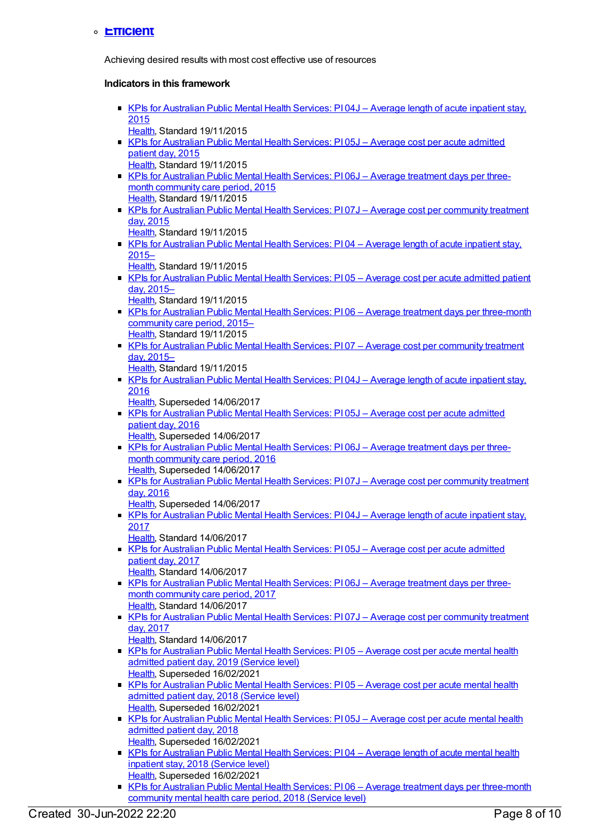#### **[Efficient](https://meteor.aihw.gov.au/content/584870)**

Achieving desired results with most cost effective use of resources

- KPIs for [Australian](https://meteor.aihw.gov.au/content/584306) Public Mental Health Services: PI 04J Average length of acute inpatient stay, 2015 [Health](https://meteor.aihw.gov.au/RegistrationAuthority/12), Standard 19/11/2015 KPIs for [Australian](https://meteor.aihw.gov.au/content/597092) Public Mental Health Services: PI 05J - Average cost per acute admitted patient day, 2015 [Health](https://meteor.aihw.gov.au/RegistrationAuthority/12), Standard 19/11/2015 ■ KPIs for [Australian](https://meteor.aihw.gov.au/content/597095) Public Mental Health Services: PI 06J – Average treatment days per threemonth community care period, 2015 [Health](https://meteor.aihw.gov.au/RegistrationAuthority/12), Standard 19/11/2015 KPIs for Australian Public Mental Health Services: PI07J - Average cost per [community](https://meteor.aihw.gov.au/content/597098) treatment day, 2015 [Health](https://meteor.aihw.gov.au/RegistrationAuthority/12), Standard 19/11/2015 KPIs for [Australian](https://meteor.aihw.gov.au/content/584068) Public Mental Health Services: PI04 - Average length of acute inpatient stay, 2015– [Health](https://meteor.aihw.gov.au/RegistrationAuthority/12), Standard 19/11/2015 ■ KPIs for [Australian](https://meteor.aihw.gov.au/content/583849) Public Mental Health Services: PI 05 – Average cost per acute admitted patient day, 2015– [Health](https://meteor.aihw.gov.au/RegistrationAuthority/12), Standard 19/11/2015 KPIs for Australian Public Mental Health Services: PI 06 - Average treatment days per [three-month](https://meteor.aihw.gov.au/content/584195) community care period, 2015– [Health](https://meteor.aihw.gov.au/RegistrationAuthority/12), Standard 19/11/2015 KPIs for Australian Public Mental Health Services: PI 07 - Average cost per [community](https://meteor.aihw.gov.au/content/584220) treatment day, 2015– [Health](https://meteor.aihw.gov.au/RegistrationAuthority/12), Standard 19/11/2015 KPIs for [Australian](https://meteor.aihw.gov.au/content/630367) Public Mental Health Services: PI 04J – Average length of acute inpatient stay, 2016 [Health](https://meteor.aihw.gov.au/RegistrationAuthority/12), Superseded 14/06/2017 KPIs for [Australian](https://meteor.aihw.gov.au/content/630372) Public Mental Health Services: PI 05J – Average cost per acute admitted patient day, 2016 [Health](https://meteor.aihw.gov.au/RegistrationAuthority/12), Superseded 14/06/2017 KPIs for [Australian](https://meteor.aihw.gov.au/content/630375) Public Mental Health Services: PI 06J – Average treatment days per threemonth community care period, 2016 [Health](https://meteor.aihw.gov.au/RegistrationAuthority/12), Superseded 14/06/2017 KPIs for Australian Public Mental Health Services: PI07J – Average cost per [community](https://meteor.aihw.gov.au/content/630380) treatment day, 2016 [Health](https://meteor.aihw.gov.au/RegistrationAuthority/12), Superseded 14/06/2017 KPIs for [Australian](https://meteor.aihw.gov.au/content/663813) Public Mental Health Services: PI 04J - Average length of acute inpatient stay, 2017 [Health](https://meteor.aihw.gov.au/RegistrationAuthority/12), Standard 14/06/2017 KPIs for [Australian](https://meteor.aihw.gov.au/content/663815) Public Mental Health Services: PI 05J – Average cost per acute admitted patient day, 2017 [Health](https://meteor.aihw.gov.au/RegistrationAuthority/12), Standard 14/06/2017 KPIs for [Australian](https://meteor.aihw.gov.au/content/663819) Public Mental Health Services: PI06J - Average treatment days per threemonth community care period, 2017 [Health](https://meteor.aihw.gov.au/RegistrationAuthority/12), Standard 14/06/2017 KPIs for Australian Public Mental Health Services: PI 07J – Average cost per [community](https://meteor.aihw.gov.au/content/663822) treatment day, 2017 [Health](https://meteor.aihw.gov.au/RegistrationAuthority/12), Standard 14/06/2017 ■ KPIs for [Australian](https://meteor.aihw.gov.au/content/712072) Public Mental Health Services: PI 05 – Average cost per acute mental health admitted patient day, 2019 (Service level) [Health](https://meteor.aihw.gov.au/RegistrationAuthority/12), Superseded 16/02/2021 KPIs for [Australian](https://meteor.aihw.gov.au/content/633031) Public Mental Health Services: PI05 - Average cost per acute mental health admitted patient day, 2018 (Service level) [Health](https://meteor.aihw.gov.au/RegistrationAuthority/12), Superseded 16/02/2021 KPIs for [Australian](https://meteor.aihw.gov.au/content/692983) Public Mental Health Services: PI 05J – Average cost per acute mental health admitted patient day, 2018 [Health](https://meteor.aihw.gov.au/RegistrationAuthority/12), Superseded 16/02/2021 KPIs for [Australian](https://meteor.aihw.gov.au/content/633023) Public Mental Health Services: PI04 – Average length of acute mental health inpatient stay, 2018 (Service level) [Health](https://meteor.aihw.gov.au/RegistrationAuthority/12), Superseded 16/02/2021
	- KPIs for Australian Public Mental Health Services: P106 Average treatment days per [three-month](https://meteor.aihw.gov.au/content/633033) community mental health care period, 2018 (Service level)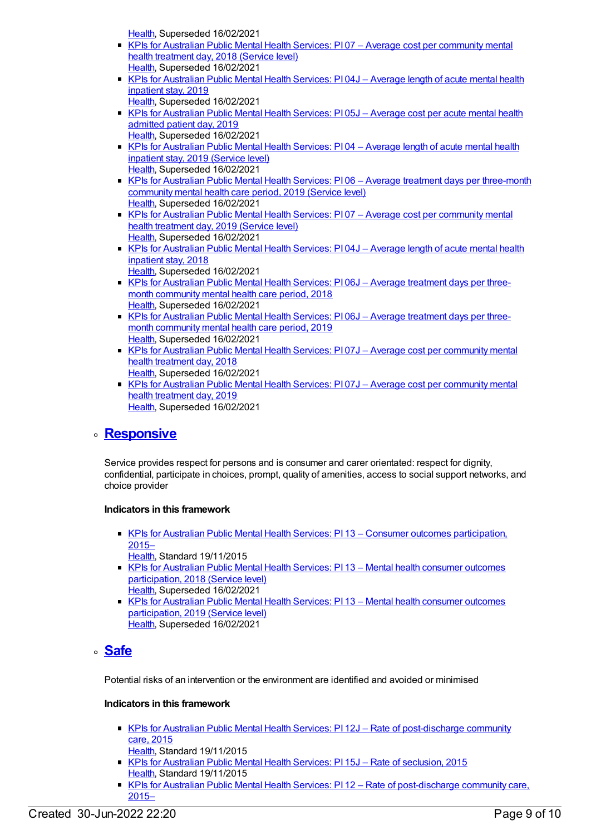[Health](https://meteor.aihw.gov.au/RegistrationAuthority/12), Superseded 16/02/2021

- KPIs for Australian Public Mental Health Services: PI 07 Average cost per [community](https://meteor.aihw.gov.au/content/633038) mental health treatment day, 2018 (Service level) [Health](https://meteor.aihw.gov.au/RegistrationAuthority/12), Superseded 16/02/2021
- KPIs for [Australian](https://meteor.aihw.gov.au/content/709403) Public Mental Health Services: PI 04J Average length of acute mental health inpatient stay, 2019 [Health](https://meteor.aihw.gov.au/RegistrationAuthority/12), Superseded 16/02/2021
- KPIs for [Australian](https://meteor.aihw.gov.au/content/709407) Public Mental Health Services: PI 05J Average cost per acute mental health admitted patient day, 2019
- [Health](https://meteor.aihw.gov.au/RegistrationAuthority/12), Superseded 16/02/2021 KPIs for [Australian](https://meteor.aihw.gov.au/content/712076) Public Mental Health Services: PI04 - Average length of acute mental health inpatient stay, 2019 (Service level) [Health](https://meteor.aihw.gov.au/RegistrationAuthority/12), Superseded 16/02/2021
- KPIs for Australian Public Mental Health Services: PI 06 Average treatment days per [three-month](https://meteor.aihw.gov.au/content/712078) community mental health care period, 2019 (Service level) [Health](https://meteor.aihw.gov.au/RegistrationAuthority/12), Superseded 16/02/2021
- KPIs for Australian Public Mental Health Services: PI 07 Average cost per [community](https://meteor.aihw.gov.au/content/712074) mental health treatment day, 2019 (Service level) [Health](https://meteor.aihw.gov.au/RegistrationAuthority/12), Superseded 16/02/2021
- KPIs for [Australian](https://meteor.aihw.gov.au/content/692981) Public Mental Health Services: PI 04J Average length of acute mental health inpatient stay, 2018 [Health](https://meteor.aihw.gov.au/RegistrationAuthority/12), Superseded 16/02/2021
- KPIs for [Australian](https://meteor.aihw.gov.au/content/692985) Public Mental Health Services: PI06J Average treatment days per threemonth community mental health care period, 2018 [Health](https://meteor.aihw.gov.au/RegistrationAuthority/12), Superseded 16/02/2021
- KPIs for [Australian](https://meteor.aihw.gov.au/content/709400) Public Mental Health Services: PI06J Average treatment days per threemonth community mental health care period, 2019 [Health](https://meteor.aihw.gov.au/RegistrationAuthority/12), Superseded 16/02/2021
- KPIs for Australian Public Mental Health Services: PI 07J Average cost per [community](https://meteor.aihw.gov.au/content/692987) mental health treatment day, 2018 [Health](https://meteor.aihw.gov.au/RegistrationAuthority/12), Superseded 16/02/2021
- KPIs for Australian Public Mental Health Services: PI 07J Average cost per [community](https://meteor.aihw.gov.au/content/709405) mental health treatment day, 2019 [Health](https://meteor.aihw.gov.au/RegistrationAuthority/12), Superseded 16/02/2021

### **[Responsive](https://meteor.aihw.gov.au/content/584869)**

Service provides respect for persons and is consumer and carer orientated: respect for dignity, confidential, participate in choices, prompt, quality of amenities, access to social support networks, and choice provider

#### **Indicators in this framework**

- KPIs for Australian Public Mental Health Services: PI 13 Consumer outcomes [participation,](https://meteor.aihw.gov.au/content/596814) 2015–
	- [Health](https://meteor.aihw.gov.au/RegistrationAuthority/12), Standard 19/11/2015
- KPIs for Australian Public Mental Health Services: PI 13 Mental health consumer outcomes [participation,](https://meteor.aihw.gov.au/content/693357) 2018 (Service level) [Health](https://meteor.aihw.gov.au/RegistrationAuthority/12), Superseded 16/02/2021
- KPIs for Australian Public Mental Health Services: PI 13 Mental health consumer outcomes [participation,](https://meteor.aihw.gov.au/content/712086) 2019 (Service level) [Health](https://meteor.aihw.gov.au/RegistrationAuthority/12), Superseded 16/02/2021

### **[Safe](https://meteor.aihw.gov.au/content/584866)**

Potential risks of an intervention or the environment are identified and avoided or minimised

- KPIs for Australian Public Mental Health Services: PI 12J Rate of [post-discharge](https://meteor.aihw.gov.au/content/596977) community care, 2015
- [Health](https://meteor.aihw.gov.au/RegistrationAuthority/12), Standard 19/11/2015 KPIs for [Australian](https://meteor.aihw.gov.au/content/596858) Public Mental Health Services: PI 15J - Rate of seclusion, 2015 [Health](https://meteor.aihw.gov.au/RegistrationAuthority/12), Standard 19/11/2015
- KPIs for Australian Public Mental Health Services: PI 12 Rate of [post-discharge](https://meteor.aihw.gov.au/content/584238) community care, 2015–